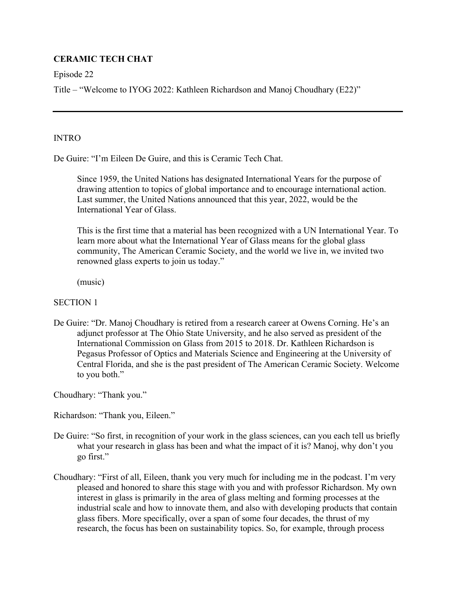# **CERAMIC TECH CHAT**

Episode 22

Title – "Welcome to IYOG 2022: Kathleen Richardson and Manoj Choudhary (E22)"

### **INTRO**

De Guire: "I'm Eileen De Guire, and this is Ceramic Tech Chat.

Since 1959, the United Nations has designated International Years for the purpose of drawing attention to topics of global importance and to encourage international action. Last summer, the United Nations announced that this year, 2022, would be the International Year of Glass.

This is the first time that a material has been recognized with a UN International Year. To learn more about what the International Year of Glass means for the global glass community, The American Ceramic Society, and the world we live in, we invited two renowned glass experts to join us today."

(music)

## SECTION 1

De Guire: "Dr. Manoj Choudhary is retired from a research career at Owens Corning. He's an adjunct professor at The Ohio State University, and he also served as president of the International Commission on Glass from 2015 to 2018. Dr. Kathleen Richardson is Pegasus Professor of Optics and Materials Science and Engineering at the University of Central Florida, and she is the past president of The American Ceramic Society. Welcome to you both."

Choudhary: "Thank you."

Richardson: "Thank you, Eileen."

- De Guire: "So first, in recognition of your work in the glass sciences, can you each tell us briefly what your research in glass has been and what the impact of it is? Manoj, why don't you go first."
- Choudhary: "First of all, Eileen, thank you very much for including me in the podcast. I'm very pleased and honored to share this stage with you and with professor Richardson. My own interest in glass is primarily in the area of glass melting and forming processes at the industrial scale and how to innovate them, and also with developing products that contain glass fibers. More specifically, over a span of some four decades, the thrust of my research, the focus has been on sustainability topics. So, for example, through process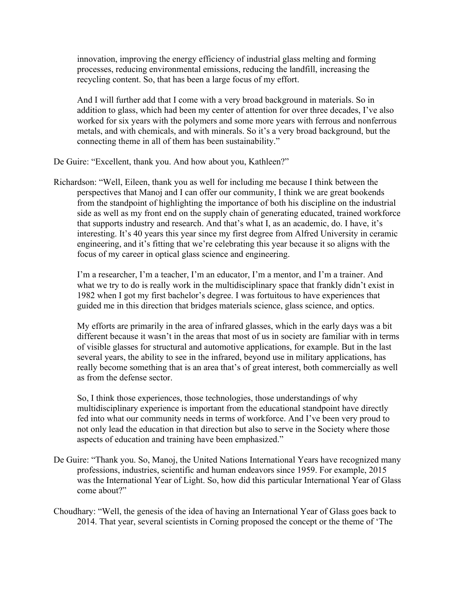innovation, improving the energy efficiency of industrial glass melting and forming processes, reducing environmental emissions, reducing the landfill, increasing the recycling content. So, that has been a large focus of my effort.

And I will further add that I come with a very broad background in materials. So in addition to glass, which had been my center of attention for over three decades, I've also worked for six years with the polymers and some more years with ferrous and nonferrous metals, and with chemicals, and with minerals. So it's a very broad background, but the connecting theme in all of them has been sustainability."

De Guire: "Excellent, thank you. And how about you, Kathleen?"

Richardson: "Well, Eileen, thank you as well for including me because I think between the perspectives that Manoj and I can offer our community, I think we are great bookends from the standpoint of highlighting the importance of both his discipline on the industrial side as well as my front end on the supply chain of generating educated, trained workforce that supports industry and research. And that's what I, as an academic, do. I have, it's interesting. It's 40 years this year since my first degree from Alfred University in ceramic engineering, and it's fitting that we're celebrating this year because it so aligns with the focus of my career in optical glass science and engineering.

I'm a researcher, I'm a teacher, I'm an educator, I'm a mentor, and I'm a trainer. And what we try to do is really work in the multidisciplinary space that frankly didn't exist in 1982 when I got my first bachelor's degree. I was fortuitous to have experiences that guided me in this direction that bridges materials science, glass science, and optics.

My efforts are primarily in the area of infrared glasses, which in the early days was a bit different because it wasn't in the areas that most of us in society are familiar with in terms of visible glasses for structural and automotive applications, for example. But in the last several years, the ability to see in the infrared, beyond use in military applications, has really become something that is an area that's of great interest, both commercially as well as from the defense sector.

So, I think those experiences, those technologies, those understandings of why multidisciplinary experience is important from the educational standpoint have directly fed into what our community needs in terms of workforce. And I've been very proud to not only lead the education in that direction but also to serve in the Society where those aspects of education and training have been emphasized."

- De Guire: "Thank you. So, Manoj, the United Nations International Years have recognized many professions, industries, scientific and human endeavors since 1959. For example, 2015 was the International Year of Light. So, how did this particular International Year of Glass come about?"
- Choudhary: "Well, the genesis of the idea of having an International Year of Glass goes back to 2014. That year, several scientists in Corning proposed the concept or the theme of 'The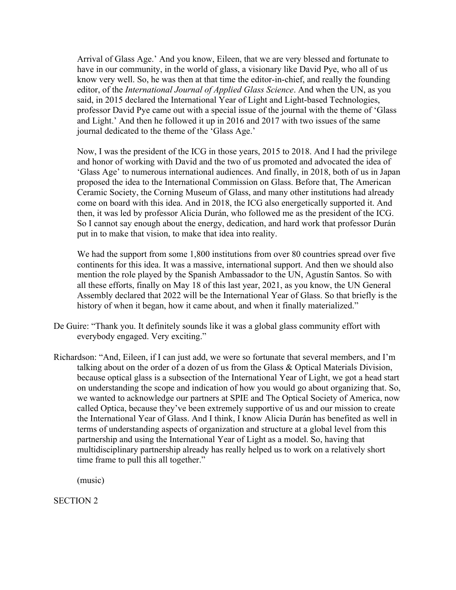Arrival of Glass Age.' And you know, Eileen, that we are very blessed and fortunate to have in our community, in the world of glass, a visionary like David Pye, who all of us know very well. So, he was then at that time the editor-in-chief, and really the founding editor, of the *International Journal of Applied Glass Science*. And when the UN, as you said, in 2015 declared the International Year of Light and Light-based Technologies, professor David Pye came out with a special issue of the journal with the theme of 'Glass and Light.' And then he followed it up in 2016 and 2017 with two issues of the same journal dedicated to the theme of the 'Glass Age.'

Now, I was the president of the ICG in those years, 2015 to 2018. And I had the privilege and honor of working with David and the two of us promoted and advocated the idea of 'Glass Age' to numerous international audiences. And finally, in 2018, both of us in Japan proposed the idea to the International Commission on Glass. Before that, The American Ceramic Society, the Corning Museum of Glass, and many other institutions had already come on board with this idea. And in 2018, the ICG also energetically supported it. And then, it was led by professor Alicia Durán, who followed me as the president of the ICG. So I cannot say enough about the energy, dedication, and hard work that professor Durán put in to make that vision, to make that idea into reality.

We had the support from some 1,800 institutions from over 80 countries spread over five continents for this idea. It was a massive, international support. And then we should also mention the role played by the Spanish Ambassador to the UN, Agustín Santos. So with all these efforts, finally on May 18 of this last year, 2021, as you know, the UN General Assembly declared that 2022 will be the International Year of Glass. So that briefly is the history of when it began, how it came about, and when it finally materialized."

- De Guire: "Thank you. It definitely sounds like it was a global glass community effort with everybody engaged. Very exciting."
- Richardson: "And, Eileen, if I can just add, we were so fortunate that several members, and I'm talking about on the order of a dozen of us from the Glass & Optical Materials Division, because optical glass is a subsection of the International Year of Light, we got a head start on understanding the scope and indication of how you would go about organizing that. So, we wanted to acknowledge our partners at SPIE and The Optical Society of America, now called Optica, because they've been extremely supportive of us and our mission to create the International Year of Glass. And I think, I know Alicia Durán has benefited as well in terms of understanding aspects of organization and structure at a global level from this partnership and using the International Year of Light as a model. So, having that multidisciplinary partnership already has really helped us to work on a relatively short time frame to pull this all together."

(music)

SECTION 2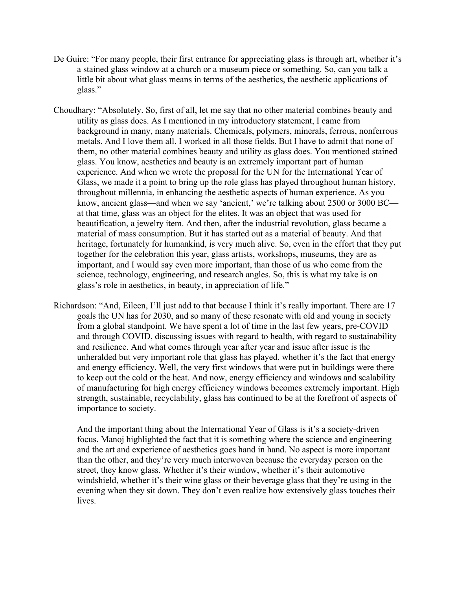- De Guire: "For many people, their first entrance for appreciating glass is through art, whether it's a stained glass window at a church or a museum piece or something. So, can you talk a little bit about what glass means in terms of the aesthetics, the aesthetic applications of glass."
- Choudhary: "Absolutely. So, first of all, let me say that no other material combines beauty and utility as glass does. As I mentioned in my introductory statement, I came from background in many, many materials. Chemicals, polymers, minerals, ferrous, nonferrous metals. And I love them all. I worked in all those fields. But I have to admit that none of them, no other material combines beauty and utility as glass does. You mentioned stained glass. You know, aesthetics and beauty is an extremely important part of human experience. And when we wrote the proposal for the UN for the International Year of Glass, we made it a point to bring up the role glass has played throughout human history, throughout millennia, in enhancing the aesthetic aspects of human experience. As you know, ancient glass—and when we say 'ancient,' we're talking about 2500 or 3000 BC at that time, glass was an object for the elites. It was an object that was used for beautification, a jewelry item. And then, after the industrial revolution, glass became a material of mass consumption. But it has started out as a material of beauty. And that heritage, fortunately for humankind, is very much alive. So, even in the effort that they put together for the celebration this year, glass artists, workshops, museums, they are as important, and I would say even more important, than those of us who come from the science, technology, engineering, and research angles. So, this is what my take is on glass's role in aesthetics, in beauty, in appreciation of life."
- Richardson: "And, Eileen, I'll just add to that because I think it's really important. There are 17 goals the UN has for 2030, and so many of these resonate with old and young in society from a global standpoint. We have spent a lot of time in the last few years, pre-COVID and through COVID, discussing issues with regard to health, with regard to sustainability and resilience. And what comes through year after year and issue after issue is the unheralded but very important role that glass has played, whether it's the fact that energy and energy efficiency. Well, the very first windows that were put in buildings were there to keep out the cold or the heat. And now, energy efficiency and windows and scalability of manufacturing for high energy efficiency windows becomes extremely important. High strength, sustainable, recyclability, glass has continued to be at the forefront of aspects of importance to society.

And the important thing about the International Year of Glass is it's a society-driven focus. Manoj highlighted the fact that it is something where the science and engineering and the art and experience of aesthetics goes hand in hand. No aspect is more important than the other, and they're very much interwoven because the everyday person on the street, they know glass. Whether it's their window, whether it's their automotive windshield, whether it's their wine glass or their beverage glass that they're using in the evening when they sit down. They don't even realize how extensively glass touches their lives.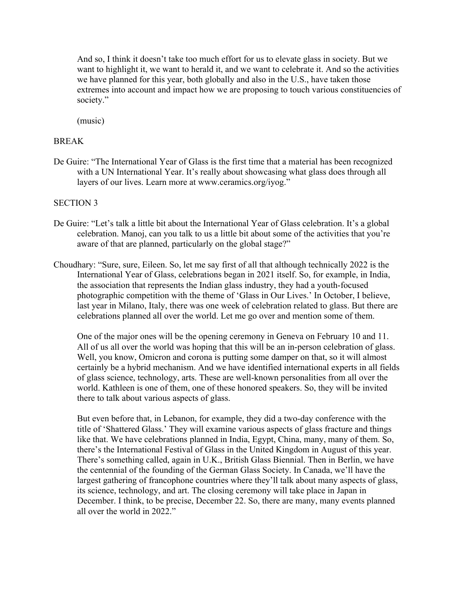And so, I think it doesn't take too much effort for us to elevate glass in society. But we want to highlight it, we want to herald it, and we want to celebrate it. And so the activities we have planned for this year, both globally and also in the U.S., have taken those extremes into account and impact how we are proposing to touch various constituencies of society."

(music)

#### BREAK

De Guire: "The International Year of Glass is the first time that a material has been recognized with a UN International Year. It's really about showcasing what glass does through all layers of our lives. Learn more at www.ceramics.org/iyog."

#### SECTION 3

- De Guire: "Let's talk a little bit about the International Year of Glass celebration. It's a global celebration. Manoj, can you talk to us a little bit about some of the activities that you're aware of that are planned, particularly on the global stage?"
- Choudhary: "Sure, sure, Eileen. So, let me say first of all that although technically 2022 is the International Year of Glass, celebrations began in 2021 itself. So, for example, in India, the association that represents the Indian glass industry, they had a youth-focused photographic competition with the theme of 'Glass in Our Lives.' In October, I believe, last year in Milano, Italy, there was one week of celebration related to glass. But there are celebrations planned all over the world. Let me go over and mention some of them.

One of the major ones will be the opening ceremony in Geneva on February 10 and 11. All of us all over the world was hoping that this will be an in-person celebration of glass. Well, you know, Omicron and corona is putting some damper on that, so it will almost certainly be a hybrid mechanism. And we have identified international experts in all fields of glass science, technology, arts. These are well-known personalities from all over the world. Kathleen is one of them, one of these honored speakers. So, they will be invited there to talk about various aspects of glass.

But even before that, in Lebanon, for example, they did a two-day conference with the title of 'Shattered Glass.' They will examine various aspects of glass fracture and things like that. We have celebrations planned in India, Egypt, China, many, many of them. So, there's the International Festival of Glass in the United Kingdom in August of this year. There's something called, again in U.K., British Glass Biennial. Then in Berlin, we have the centennial of the founding of the German Glass Society. In Canada, we'll have the largest gathering of francophone countries where they'll talk about many aspects of glass, its science, technology, and art. The closing ceremony will take place in Japan in December. I think, to be precise, December 22. So, there are many, many events planned all over the world in 2022."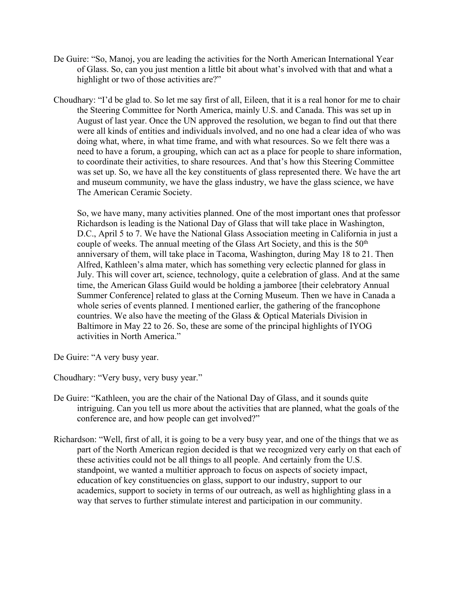- De Guire: "So, Manoj, you are leading the activities for the North American International Year of Glass. So, can you just mention a little bit about what's involved with that and what a highlight or two of those activities are?"
- Choudhary: "I'd be glad to. So let me say first of all, Eileen, that it is a real honor for me to chair the Steering Committee for North America, mainly U.S. and Canada. This was set up in August of last year. Once the UN approved the resolution, we began to find out that there were all kinds of entities and individuals involved, and no one had a clear idea of who was doing what, where, in what time frame, and with what resources. So we felt there was a need to have a forum, a grouping, which can act as a place for people to share information, to coordinate their activities, to share resources. And that's how this Steering Committee was set up. So, we have all the key constituents of glass represented there. We have the art and museum community, we have the glass industry, we have the glass science, we have The American Ceramic Society.

So, we have many, many activities planned. One of the most important ones that professor Richardson is leading is the National Day of Glass that will take place in Washington, D.C., April 5 to 7. We have the National Glass Association meeting in California in just a couple of weeks. The annual meeting of the Glass Art Society, and this is the 50<sup>th</sup> anniversary of them, will take place in Tacoma, Washington, during May 18 to 21. Then Alfred, Kathleen's alma mater, which has something very eclectic planned for glass in July. This will cover art, science, technology, quite a celebration of glass. And at the same time, the American Glass Guild would be holding a jamboree [their celebratory Annual Summer Conference] related to glass at the Corning Museum. Then we have in Canada a whole series of events planned. I mentioned earlier, the gathering of the francophone countries. We also have the meeting of the Glass & Optical Materials Division in Baltimore in May 22 to 26. So, these are some of the principal highlights of IYOG activities in North America."

De Guire: "A very busy year.

Choudhary: "Very busy, very busy year."

- De Guire: "Kathleen, you are the chair of the National Day of Glass, and it sounds quite intriguing. Can you tell us more about the activities that are planned, what the goals of the conference are, and how people can get involved?"
- Richardson: "Well, first of all, it is going to be a very busy year, and one of the things that we as part of the North American region decided is that we recognized very early on that each of these activities could not be all things to all people. And certainly from the U.S. standpoint, we wanted a multitier approach to focus on aspects of society impact, education of key constituencies on glass, support to our industry, support to our academics, support to society in terms of our outreach, as well as highlighting glass in a way that serves to further stimulate interest and participation in our community.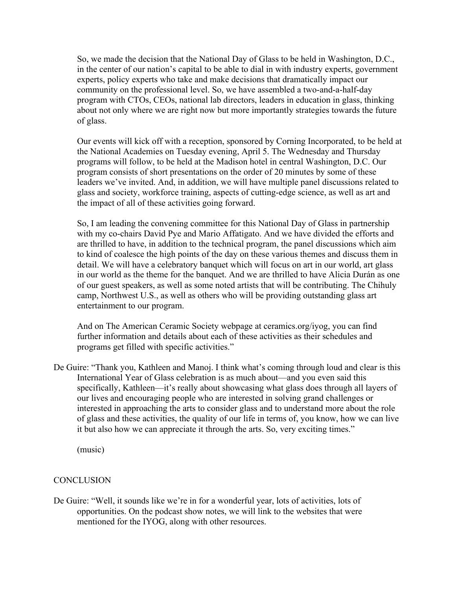So, we made the decision that the National Day of Glass to be held in Washington, D.C., in the center of our nation's capital to be able to dial in with industry experts, government experts, policy experts who take and make decisions that dramatically impact our community on the professional level. So, we have assembled a two-and-a-half-day program with CTOs, CEOs, national lab directors, leaders in education in glass, thinking about not only where we are right now but more importantly strategies towards the future of glass.

Our events will kick off with a reception, sponsored by Corning Incorporated, to be held at the National Academies on Tuesday evening, April 5. The Wednesday and Thursday programs will follow, to be held at the Madison hotel in central Washington, D.C. Our program consists of short presentations on the order of 20 minutes by some of these leaders we've invited. And, in addition, we will have multiple panel discussions related to glass and society, workforce training, aspects of cutting-edge science, as well as art and the impact of all of these activities going forward.

So, I am leading the convening committee for this National Day of Glass in partnership with my co-chairs David Pye and Mario Affatigato. And we have divided the efforts and are thrilled to have, in addition to the technical program, the panel discussions which aim to kind of coalesce the high points of the day on these various themes and discuss them in detail. We will have a celebratory banquet which will focus on art in our world, art glass in our world as the theme for the banquet. And we are thrilled to have Alicia Durán as one of our guest speakers, as well as some noted artists that will be contributing. The Chihuly camp, Northwest U.S., as well as others who will be providing outstanding glass art entertainment to our program.

And on The American Ceramic Society webpage at ceramics.org/iyog, you can find further information and details about each of these activities as their schedules and programs get filled with specific activities."

De Guire: "Thank you, Kathleen and Manoj. I think what's coming through loud and clear is this International Year of Glass celebration is as much about—and you even said this specifically, Kathleen—it's really about showcasing what glass does through all layers of our lives and encouraging people who are interested in solving grand challenges or interested in approaching the arts to consider glass and to understand more about the role of glass and these activities, the quality of our life in terms of, you know, how we can live it but also how we can appreciate it through the arts. So, very exciting times."

(music)

### **CONCLUSION**

De Guire: "Well, it sounds like we're in for a wonderful year, lots of activities, lots of opportunities. On the podcast show notes, we will link to the websites that were mentioned for the IYOG, along with other resources.